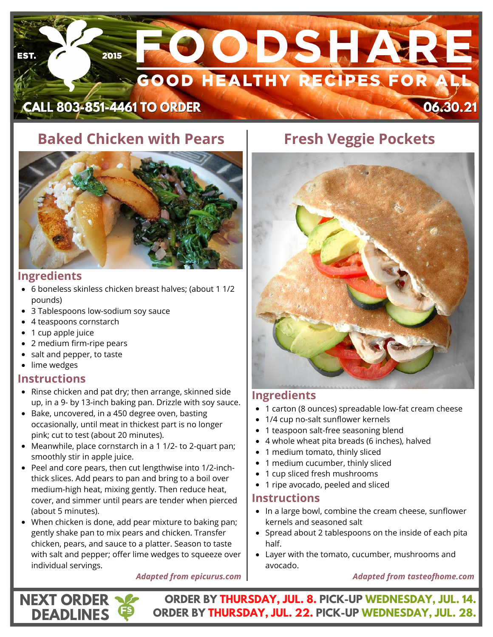# **SOODSHARE** 2015 उन **SOOD HEALTHY RECIPES FOR A CALL 803-851-4461 TO ORDER** 06.30.21

# **Baked Chicken with Pears**



# **Ingredients**

- 6 boneless skinless chicken breast halves; (about 1 1/2 pounds)
- 3 Tablespoons low-sodium soy sauce
- 4 teaspoons cornstarch
- 1 cup apple juice
- 2 medium firm-ripe pears
- salt and pepper, to taste
- lime wedges

# **Instructions**

**NEXT ORDER DEADLINES**

- Rinse chicken and pat dry; then arrange, skinned side up, in a 9- by 13-inch baking pan. Drizzle with soy sauce.
- Bake, uncovered, in a 450 degree oven, basting occasionally, until meat in thickest part is no longer pink; cut to test (about 20 minutes).
- Meanwhile, place cornstarch in a 1 1/2- to 2-quart pan; smoothly stir in apple juice.
- Peel and core pears, then cut lengthwise into 1/2-inchthick slices. Add pears to pan and bring to a boil over medium-high heat, mixing gently. Then reduce heat, cover, and simmer until pears are tender when pierced (about 5 minutes).
- When chicken is done, add pear mixture to baking pan; gently shake pan to mix pears and chicken. Transfer chicken, pears, and sauce to a platter. Season to taste with salt and pepper; offer lime wedges to squeeze over individual servings.

### *Adapted from epicurus.com*

# **Fresh Veggie Pockets**



# **Ingredients**

- [1 carton \(8 ounces\) spreadable low-fat cream cheese](https://amzn.to/3aEReD0)
- 1/4 cup no-salt sunflower kernels
- [1 teaspoon salt-free seasoning blend](https://amzn.to/3aEReD0)
- [4 whole wheat pita breads \(6 inches\), halved](https://amzn.to/3aEReD0)
- [1 medium tomato, thinly sliced](https://amzn.to/3aEReD0)
- [1 medium cucumber, thinly sliced](https://amzn.to/3aEReD0)
- [1 cup sliced fresh mushrooms](https://amzn.to/3aEReD0)
- [1 ripe avocado, peeled and sliced](https://amzn.to/3aEReD0)

# **Instructions**

- In a large bowl, combine the cream cheese, sunflower kernels and seasoned salt
- Spread about 2 tablespoons on the inside of each pita half.
- Layer with the tomato, cucumber, mushrooms and avocado.

### *Adapted from tasteofhome.com*

**ORDER BY THURSDAY, JUL. 8. PICK-UP WEDNESDAY, JUL. 14. ORDER BY THURSDAY, JUL. 22. PICK-UP WEDNESDAY, JUL. 28.**